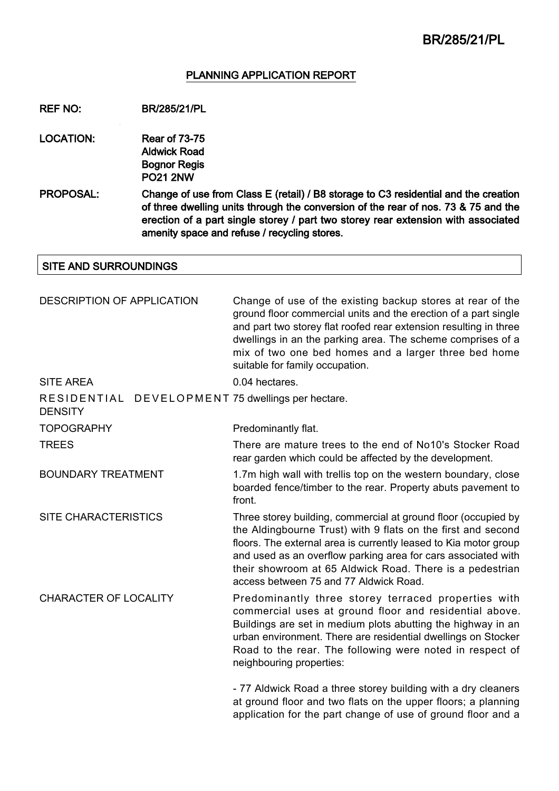## PLANNING APPLICATION REPORT

### REF NO: BR/285/21/PL

- LOCATION: Rear of 73-75 Aldwick Road Bognor Regis PO21 2NW
- PROPOSAL: Change of use from Class E (retail) / B8 storage to C3 residential and the creation of three dwelling units through the conversion of the rear of nos. 73 & 75 and the erection of a part single storey / part two storey rear extension with associated amenity space and refuse / recycling stores.

## SITE AND SURROUNDINGS

| <b>DESCRIPTION OF APPLICATION</b>                                   | Change of use of the existing backup stores at rear of the<br>ground floor commercial units and the erection of a part single<br>and part two storey flat roofed rear extension resulting in three<br>dwellings in an the parking area. The scheme comprises of a<br>mix of two one bed homes and a larger three bed home<br>suitable for family occupation.              |
|---------------------------------------------------------------------|---------------------------------------------------------------------------------------------------------------------------------------------------------------------------------------------------------------------------------------------------------------------------------------------------------------------------------------------------------------------------|
| <b>SITE AREA</b>                                                    | 0.04 hectares.                                                                                                                                                                                                                                                                                                                                                            |
| RESIDENTIAL DEVELOPMENT 75 dwellings per hectare.<br><b>DENSITY</b> |                                                                                                                                                                                                                                                                                                                                                                           |
| <b>TOPOGRAPHY</b>                                                   | Predominantly flat.                                                                                                                                                                                                                                                                                                                                                       |
| <b>TREES</b>                                                        | There are mature trees to the end of No10's Stocker Road<br>rear garden which could be affected by the development.                                                                                                                                                                                                                                                       |
| <b>BOUNDARY TREATMENT</b>                                           | 1.7m high wall with trellis top on the western boundary, close<br>boarded fence/timber to the rear. Property abuts pavement to<br>front.                                                                                                                                                                                                                                  |
| <b>SITE CHARACTERISTICS</b>                                         | Three storey building, commercial at ground floor (occupied by<br>the Aldingbourne Trust) with 9 flats on the first and second<br>floors. The external area is currently leased to Kia motor group<br>and used as an overflow parking area for cars associated with<br>their showroom at 65 Aldwick Road. There is a pedestrian<br>access between 75 and 77 Aldwick Road. |
| <b>CHARACTER OF LOCALITY</b>                                        | Predominantly three storey terraced properties with<br>commercial uses at ground floor and residential above.<br>Buildings are set in medium plots abutting the highway in an<br>urban environment. There are residential dwellings on Stocker<br>Road to the rear. The following were noted in respect of<br>neighbouring properties:                                    |
|                                                                     | - 77 Aldwick Road a three storey building with a dry cleaners<br>at ground floor and two flats on the upper floors; a planning                                                                                                                                                                                                                                            |

application for the part change of use of ground floor and a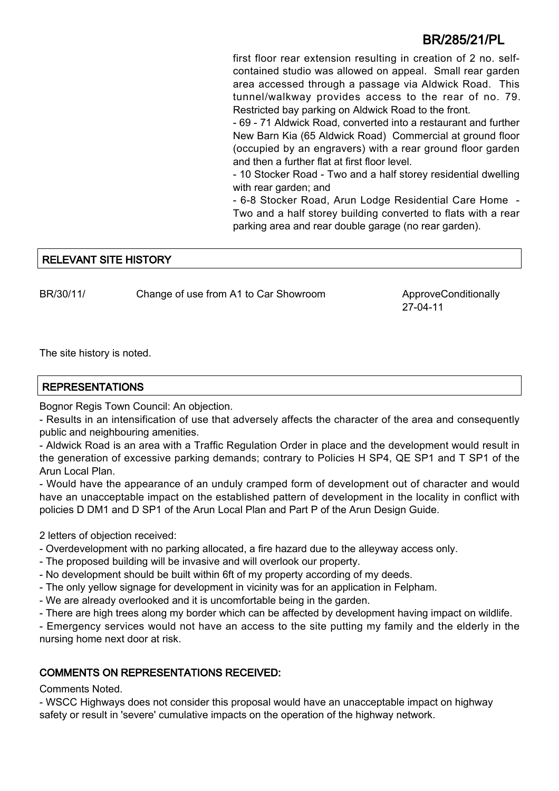first floor rear extension resulting in creation of 2 no. selfcontained studio was allowed on appeal. Small rear garden area accessed through a passage via Aldwick Road. This tunnel/walkway provides access to the rear of no. 79. Restricted bay parking on Aldwick Road to the front.

- 69 - 71 Aldwick Road, converted into a restaurant and further New Barn Kia (65 Aldwick Road) Commercial at ground floor (occupied by an engravers) with a rear ground floor garden and then a further flat at first floor level.

- 10 Stocker Road - Two and a half storey residential dwelling with rear garden; and

- 6-8 Stocker Road, Arun Lodge Residential Care Home - Two and a half storey building converted to flats with a rear parking area and rear double garage (no rear garden).

## RELEVANT SITE HISTORY

BR/30/11/ Change of use from A1 to Car Showroom ApproveConditionally

27-04-11

The site history is noted.

### REPRESENTATIONS

Bognor Regis Town Council: An objection.

- Results in an intensification of use that adversely affects the character of the area and consequently public and neighbouring amenities.

- Aldwick Road is an area with a Traffic Regulation Order in place and the development would result in the generation of excessive parking demands; contrary to Policies H SP4, QE SP1 and T SP1 of the Arun Local Plan.

- Would have the appearance of an unduly cramped form of development out of character and would have an unacceptable impact on the established pattern of development in the locality in conflict with policies D DM1 and D SP1 of the Arun Local Plan and Part P of the Arun Design Guide.

2 letters of objection received:

- Overdevelopment with no parking allocated, a fire hazard due to the alleyway access only.
- The proposed building will be invasive and will overlook our property.
- No development should be built within 6ft of my property according of my deeds.
- The only yellow signage for development in vicinity was for an application in Felpham.
- We are already overlooked and it is uncomfortable being in the garden.
- There are high trees along my border which can be affected by development having impact on wildlife.

- Emergency services would not have an access to the site putting my family and the elderly in the nursing home next door at risk.

### COMMENTS ON REPRESENTATIONS RECEIVED:

Comments Noted.

- WSCC Highways does not consider this proposal would have an unacceptable impact on highway safety or result in 'severe' cumulative impacts on the operation of the highway network.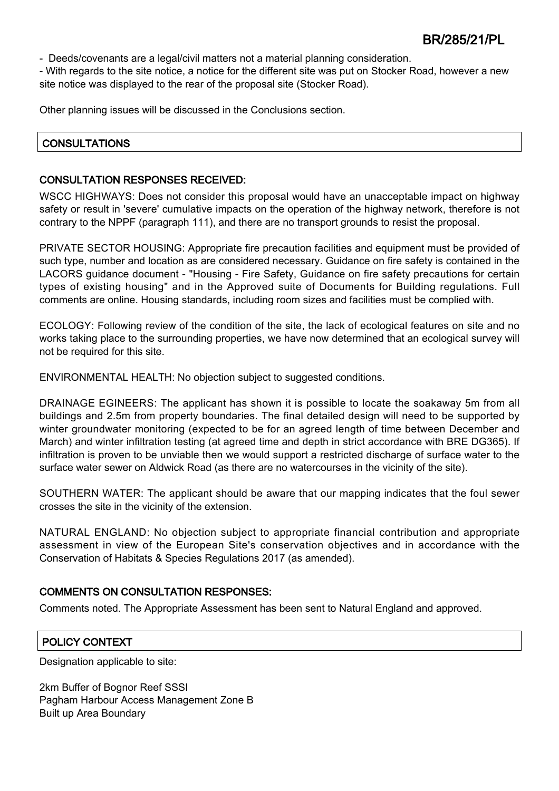- Deeds/covenants are a legal/civil matters not a material planning consideration.

- With regards to the site notice, a notice for the different site was put on Stocker Road, however a new site notice was displayed to the rear of the proposal site (Stocker Road).

Other planning issues will be discussed in the Conclusions section.

### **CONSULTATIONS**

### CONSULTATION RESPONSES RECEIVED:

WSCC HIGHWAYS: Does not consider this proposal would have an unacceptable impact on highway safety or result in 'severe' cumulative impacts on the operation of the highway network, therefore is not contrary to the NPPF (paragraph 111), and there are no transport grounds to resist the proposal.

PRIVATE SECTOR HOUSING: Appropriate fire precaution facilities and equipment must be provided of such type, number and location as are considered necessary. Guidance on fire safety is contained in the LACORS guidance document - "Housing - Fire Safety, Guidance on fire safety precautions for certain types of existing housing" and in the Approved suite of Documents for Building regulations. Full comments are online. Housing standards, including room sizes and facilities must be complied with.

ECOLOGY: Following review of the condition of the site, the lack of ecological features on site and no works taking place to the surrounding properties, we have now determined that an ecological survey will not be required for this site.

ENVIRONMENTAL HEALTH: No objection subject to suggested conditions.

DRAINAGE EGINEERS: The applicant has shown it is possible to locate the soakaway 5m from all buildings and 2.5m from property boundaries. The final detailed design will need to be supported by winter groundwater monitoring (expected to be for an agreed length of time between December and March) and winter infiltration testing (at agreed time and depth in strict accordance with BRE DG365). If infiltration is proven to be unviable then we would support a restricted discharge of surface water to the surface water sewer on Aldwick Road (as there are no watercourses in the vicinity of the site).

SOUTHERN WATER: The applicant should be aware that our mapping indicates that the foul sewer crosses the site in the vicinity of the extension.

NATURAL ENGLAND: No objection subject to appropriate financial contribution and appropriate assessment in view of the European Site's conservation objectives and in accordance with the Conservation of Habitats & Species Regulations 2017 (as amended).

### COMMENTS ON CONSULTATION RESPONSES:

Comments noted. The Appropriate Assessment has been sent to Natural England and approved.

## POLICY CONTEXT

Designation applicable to site:

2km Buffer of Bognor Reef SSSI Pagham Harbour Access Management Zone B Built up Area Boundary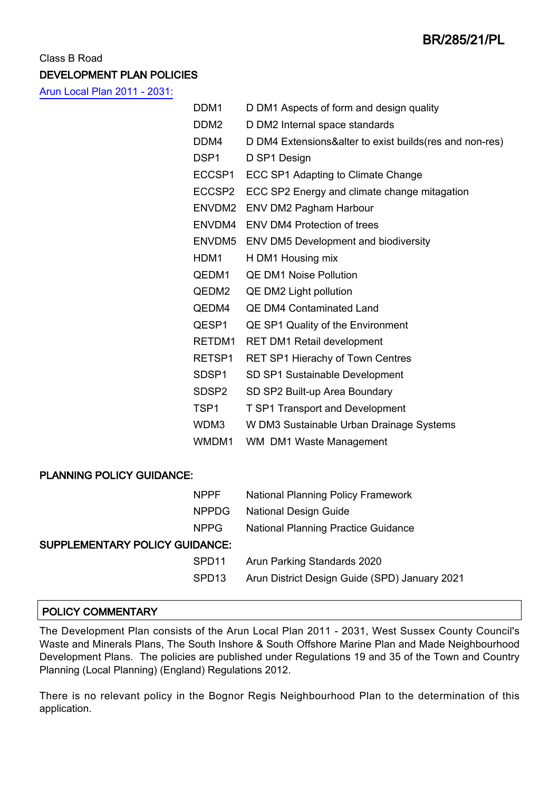## Class B Road DEVELOPMENT PLAN POLICIES

[Arun Local Plan 2011 - 2031:](https://www.arun.gov.uk/adopted-local-plan)

|                                  | DDM1             | D DM1 Aspects of form and design quality                |
|----------------------------------|------------------|---------------------------------------------------------|
|                                  | DDM <sub>2</sub> | D DM2 Internal space standards                          |
|                                  | DDM4             | D DM4 Extensions&alter to exist builds(res and non-res) |
|                                  | DSP <sub>1</sub> | D SP1 Design                                            |
|                                  | ECCSP1           | ECC SP1 Adapting to Climate Change                      |
|                                  | ECCSP2           | ECC SP2 Energy and climate change mitagation            |
|                                  |                  | ENVDM2 ENV DM2 Pagham Harbour                           |
|                                  |                  | ENVDM4 ENV DM4 Protection of trees                      |
|                                  |                  | ENVDM5 ENV DM5 Development and biodiversity             |
|                                  | HDM1             | H DM1 Housing mix                                       |
|                                  | QEDM1            | <b>QE DM1 Noise Pollution</b>                           |
|                                  | QEDM2            | QE DM2 Light pollution                                  |
|                                  | QEDM4            | <b>QE DM4 Contaminated Land</b>                         |
|                                  | QESP1            | QE SP1 Quality of the Environment                       |
|                                  | RETDM1           | <b>RET DM1 Retail development</b>                       |
|                                  | RETSP1           | <b>RET SP1 Hierachy of Town Centres</b>                 |
|                                  | SDSP1            | SD SP1 Sustainable Development                          |
|                                  | SDSP2            | SD SP2 Built-up Area Boundary                           |
|                                  | TSP <sub>1</sub> | <b>T SP1 Transport and Development</b>                  |
|                                  | WDM3             | W DM3 Sustainable Urban Drainage Systems                |
|                                  | WMDM1            | WM DM1 Waste Management                                 |
|                                  |                  |                                                         |
| <b>PLANNING POLICY GUIDANCE:</b> |                  |                                                         |
|                                  | <b>NPPF</b>      | <b>National Planning Policy Framework</b>               |
|                                  | <b>NPPDG</b>     | <b>National Design Guide</b>                            |
|                                  | <b>NPPG</b>      | <b>National Planning Practice Guidance</b>              |

## SUPPLEMENTARY POLICY GUIDANCE:

| ברו איני העריי    |                                               |
|-------------------|-----------------------------------------------|
| SPD11             | Arun Parking Standards 2020                   |
| SPD <sub>13</sub> | Arun District Design Guide (SPD) January 2021 |

## POLICY COMMENTARY

The Development Plan consists of the Arun Local Plan 2011 - 2031, West Sussex County Council's Waste and Minerals Plans, The South Inshore & South Offshore Marine Plan and Made Neighbourhood Development Plans. The policies are published under Regulations 19 and 35 of the Town and Country Planning (Local Planning) (England) Regulations 2012.

There is no relevant policy in the Bognor Regis Neighbourhood Plan to the determination of this application.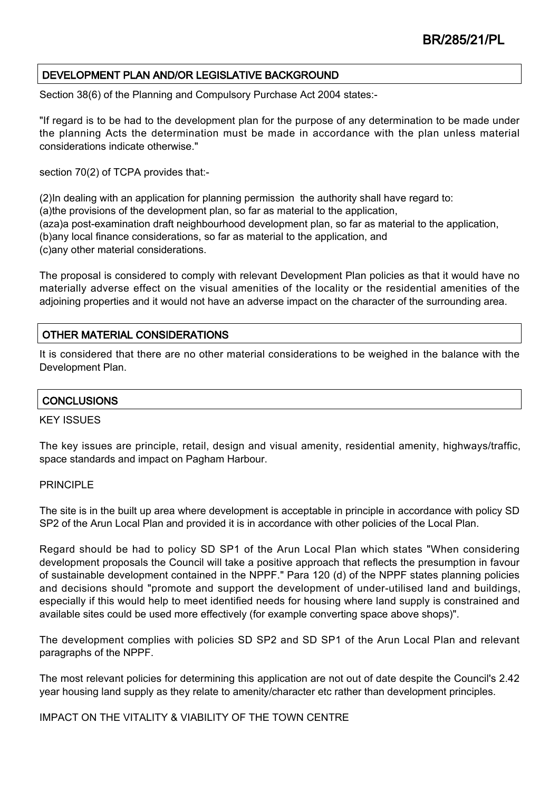## DEVELOPMENT PLAN AND/OR LEGISLATIVE BACKGROUND

Section 38(6) of the Planning and Compulsory Purchase Act 2004 states:-

"If regard is to be had to the development plan for the purpose of any determination to be made under the planning Acts the determination must be made in accordance with the plan unless material considerations indicate otherwise."

section 70(2) of TCPA provides that:-

(2)In dealing with an application for planning permission the authority shall have regard to: (a)the provisions of the development plan, so far as material to the application, (aza)a post-examination draft neighbourhood development plan, so far as material to the application, (b)any local finance considerations, so far as material to the application, and (c)any other material considerations.

The proposal is considered to comply with relevant Development Plan policies as that it would have no materially adverse effect on the visual amenities of the locality or the residential amenities of the adjoining properties and it would not have an adverse impact on the character of the surrounding area.

## OTHER MATERIAL CONSIDERATIONS

It is considered that there are no other material considerations to be weighed in the balance with the Development Plan.

### **CONCLUSIONS**

#### KEY ISSUES

The key issues are principle, retail, design and visual amenity, residential amenity, highways/traffic, space standards and impact on Pagham Harbour.

### PRINCIPLE

The site is in the built up area where development is acceptable in principle in accordance with policy SD SP2 of the Arun Local Plan and provided it is in accordance with other policies of the Local Plan.

Regard should be had to policy SD SP1 of the Arun Local Plan which states "When considering development proposals the Council will take a positive approach that reflects the presumption in favour of sustainable development contained in the NPPF." Para 120 (d) of the NPPF states planning policies and decisions should "promote and support the development of under-utilised land and buildings, especially if this would help to meet identified needs for housing where land supply is constrained and available sites could be used more effectively (for example converting space above shops)".

The development complies with policies SD SP2 and SD SP1 of the Arun Local Plan and relevant paragraphs of the NPPF.

The most relevant policies for determining this application are not out of date despite the Council's 2.42 year housing land supply as they relate to amenity/character etc rather than development principles.

IMPACT ON THE VITALITY & VIABILITY OF THE TOWN CENTRE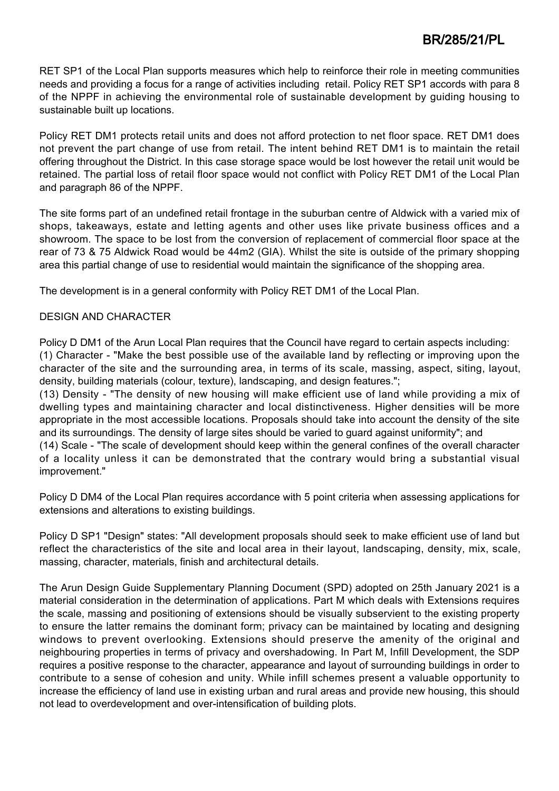RET SP1 of the Local Plan supports measures which help to reinforce their role in meeting communities needs and providing a focus for a range of activities including retail. Policy RET SP1 accords with para 8 of the NPPF in achieving the environmental role of sustainable development by guiding housing to sustainable built up locations.

Policy RET DM1 protects retail units and does not afford protection to net floor space. RET DM1 does not prevent the part change of use from retail. The intent behind RET DM1 is to maintain the retail offering throughout the District. In this case storage space would be lost however the retail unit would be retained. The partial loss of retail floor space would not conflict with Policy RET DM1 of the Local Plan and paragraph 86 of the NPPF.

The site forms part of an undefined retail frontage in the suburban centre of Aldwick with a varied mix of shops, takeaways, estate and letting agents and other uses like private business offices and a showroom. The space to be lost from the conversion of replacement of commercial floor space at the rear of 73 & 75 Aldwick Road would be 44m2 (GIA). Whilst the site is outside of the primary shopping area this partial change of use to residential would maintain the significance of the shopping area.

The development is in a general conformity with Policy RET DM1 of the Local Plan.

## DESIGN AND CHARACTER

Policy D DM1 of the Arun Local Plan requires that the Council have regard to certain aspects including: (1) Character - "Make the best possible use of the available land by reflecting or improving upon the character of the site and the surrounding area, in terms of its scale, massing, aspect, siting, layout, density, building materials (colour, texture), landscaping, and design features.";

(13) Density - "The density of new housing will make efficient use of land while providing a mix of dwelling types and maintaining character and local distinctiveness. Higher densities will be more appropriate in the most accessible locations. Proposals should take into account the density of the site and its surroundings. The density of large sites should be varied to guard against uniformity"; and (14) Scale - "The scale of development should keep within the general confines of the overall character of a locality unless it can be demonstrated that the contrary would bring a substantial visual improvement."

Policy D DM4 of the Local Plan requires accordance with 5 point criteria when assessing applications for extensions and alterations to existing buildings.

Policy D SP1 "Design" states: "All development proposals should seek to make efficient use of land but reflect the characteristics of the site and local area in their layout, landscaping, density, mix, scale, massing, character, materials, finish and architectural details.

The Arun Design Guide Supplementary Planning Document (SPD) adopted on 25th January 2021 is a material consideration in the determination of applications. Part M which deals with Extensions requires the scale, massing and positioning of extensions should be visually subservient to the existing property to ensure the latter remains the dominant form; privacy can be maintained by locating and designing windows to prevent overlooking. Extensions should preserve the amenity of the original and neighbouring properties in terms of privacy and overshadowing. In Part M, Infill Development, the SDP requires a positive response to the character, appearance and layout of surrounding buildings in order to contribute to a sense of cohesion and unity. While infill schemes present a valuable opportunity to increase the efficiency of land use in existing urban and rural areas and provide new housing, this should not lead to overdevelopment and over-intensification of building plots.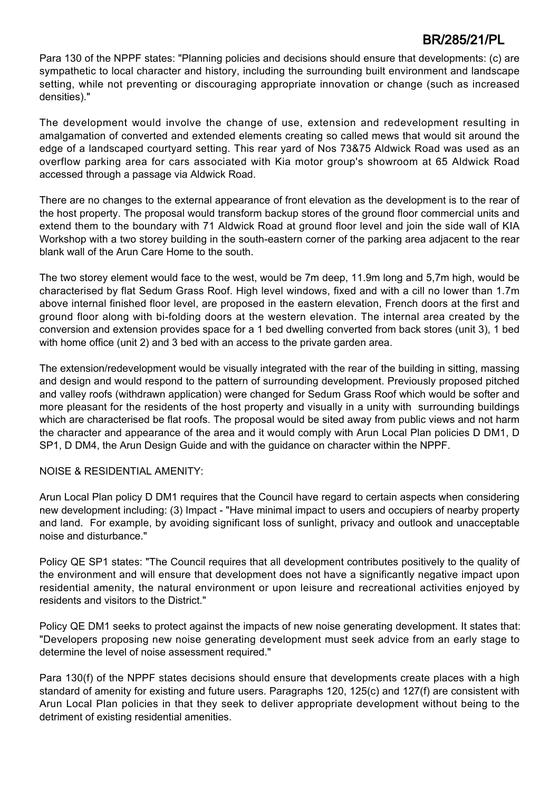Para 130 of the NPPF states: "Planning policies and decisions should ensure that developments: (c) are sympathetic to local character and history, including the surrounding built environment and landscape setting, while not preventing or discouraging appropriate innovation or change (such as increased densities)."

The development would involve the change of use, extension and redevelopment resulting in amalgamation of converted and extended elements creating so called mews that would sit around the edge of a landscaped courtyard setting. This rear yard of Nos 73&75 Aldwick Road was used as an overflow parking area for cars associated with Kia motor group's showroom at 65 Aldwick Road accessed through a passage via Aldwick Road.

There are no changes to the external appearance of front elevation as the development is to the rear of the host property. The proposal would transform backup stores of the ground floor commercial units and extend them to the boundary with 71 Aldwick Road at ground floor level and join the side wall of KIA Workshop with a two storey building in the south-eastern corner of the parking area adjacent to the rear blank wall of the Arun Care Home to the south.

The two storey element would face to the west, would be 7m deep, 11.9m long and 5,7m high, would be characterised by flat Sedum Grass Roof. High level windows, fixed and with a cill no lower than 1.7m above internal finished floor level, are proposed in the eastern elevation, French doors at the first and ground floor along with bi-folding doors at the western elevation. The internal area created by the conversion and extension provides space for a 1 bed dwelling converted from back stores (unit 3), 1 bed with home office (unit 2) and 3 bed with an access to the private garden area.

The extension/redevelopment would be visually integrated with the rear of the building in sitting, massing and design and would respond to the pattern of surrounding development. Previously proposed pitched and valley roofs (withdrawn application) were changed for Sedum Grass Roof which would be softer and more pleasant for the residents of the host property and visually in a unity with surrounding buildings which are characterised be flat roofs. The proposal would be sited away from public views and not harm the character and appearance of the area and it would comply with Arun Local Plan policies D DM1, D SP1, D DM4, the Arun Design Guide and with the guidance on character within the NPPF.

## NOISE & RESIDENTIAL AMENITY:

Arun Local Plan policy D DM1 requires that the Council have regard to certain aspects when considering new development including: (3) Impact - "Have minimal impact to users and occupiers of nearby property and land. For example, by avoiding significant loss of sunlight, privacy and outlook and unacceptable noise and disturbance."

Policy QE SP1 states: "The Council requires that all development contributes positively to the quality of the environment and will ensure that development does not have a significantly negative impact upon residential amenity, the natural environment or upon leisure and recreational activities enjoyed by residents and visitors to the District."

Policy QE DM1 seeks to protect against the impacts of new noise generating development. It states that: "Developers proposing new noise generating development must seek advice from an early stage to determine the level of noise assessment required."

Para 130(f) of the NPPF states decisions should ensure that developments create places with a high standard of amenity for existing and future users. Paragraphs 120, 125(c) and 127(f) are consistent with Arun Local Plan policies in that they seek to deliver appropriate development without being to the detriment of existing residential amenities.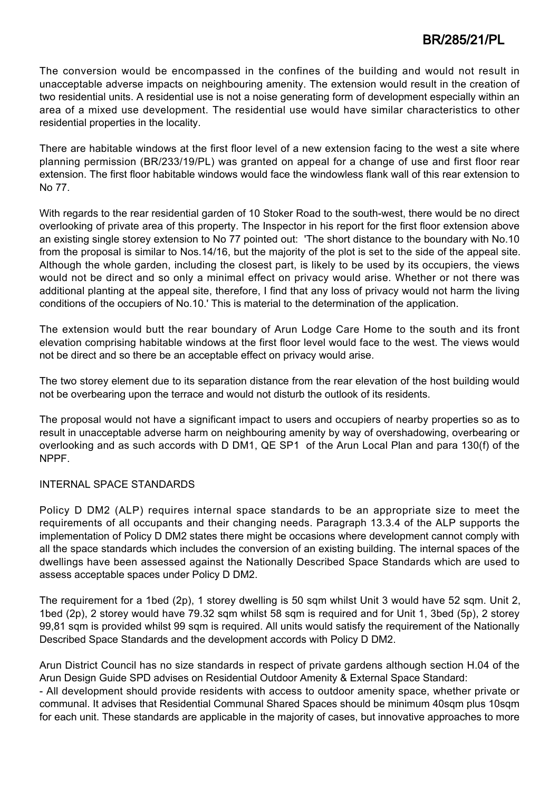The conversion would be encompassed in the confines of the building and would not result in unacceptable adverse impacts on neighbouring amenity. The extension would result in the creation of two residential units. A residential use is not a noise generating form of development especially within an area of a mixed use development. The residential use would have similar characteristics to other residential properties in the locality.

There are habitable windows at the first floor level of a new extension facing to the west a site where planning permission (BR/233/19/PL) was granted on appeal for a change of use and first floor rear extension. The first floor habitable windows would face the windowless flank wall of this rear extension to No 77.

With regards to the rear residential garden of 10 Stoker Road to the south-west, there would be no direct overlooking of private area of this property. The Inspector in his report for the first floor extension above an existing single storey extension to No 77 pointed out: 'The short distance to the boundary with No.10 from the proposal is similar to Nos.14/16, but the majority of the plot is set to the side of the appeal site. Although the whole garden, including the closest part, is likely to be used by its occupiers, the views would not be direct and so only a minimal effect on privacy would arise. Whether or not there was additional planting at the appeal site, therefore, I find that any loss of privacy would not harm the living conditions of the occupiers of No.10.' This is material to the determination of the application.

The extension would butt the rear boundary of Arun Lodge Care Home to the south and its front elevation comprising habitable windows at the first floor level would face to the west. The views would not be direct and so there be an acceptable effect on privacy would arise.

The two storey element due to its separation distance from the rear elevation of the host building would not be overbearing upon the terrace and would not disturb the outlook of its residents.

The proposal would not have a significant impact to users and occupiers of nearby properties so as to result in unacceptable adverse harm on neighbouring amenity by way of overshadowing, overbearing or overlooking and as such accords with D DM1, QE SP1 of the Arun Local Plan and para 130(f) of the NPPF.

### INTERNAL SPACE STANDARDS

Policy D DM2 (ALP) requires internal space standards to be an appropriate size to meet the requirements of all occupants and their changing needs. Paragraph 13.3.4 of the ALP supports the implementation of Policy D DM2 states there might be occasions where development cannot comply with all the space standards which includes the conversion of an existing building. The internal spaces of the dwellings have been assessed against the Nationally Described Space Standards which are used to assess acceptable spaces under Policy D DM2.

The requirement for a 1bed (2p), 1 storey dwelling is 50 sqm whilst Unit 3 would have 52 sqm. Unit 2, 1bed (2p), 2 storey would have 79.32 sqm whilst 58 sqm is required and for Unit 1, 3bed (5p), 2 storey 99,81 sqm is provided whilst 99 sqm is required. All units would satisfy the requirement of the Nationally Described Space Standards and the development accords with Policy D DM2.

Arun District Council has no size standards in respect of private gardens although section H.04 of the Arun Design Guide SPD advises on Residential Outdoor Amenity & External Space Standard: - All development should provide residents with access to outdoor amenity space, whether private or communal. It advises that Residential Communal Shared Spaces should be minimum 40sqm plus 10sqm for each unit. These standards are applicable in the majority of cases, but innovative approaches to more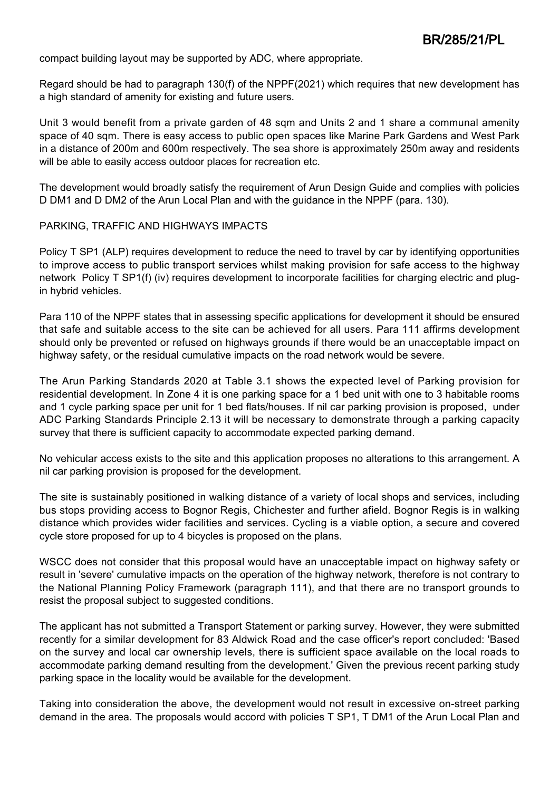compact building layout may be supported by ADC, where appropriate.

Regard should be had to paragraph 130(f) of the NPPF(2021) which requires that new development has a high standard of amenity for existing and future users.

Unit 3 would benefit from a private garden of 48 sqm and Units 2 and 1 share a communal amenity space of 40 sqm. There is easy access to public open spaces like Marine Park Gardens and West Park in a distance of 200m and 600m respectively. The sea shore is approximately 250m away and residents will be able to easily access outdoor places for recreation etc.

The development would broadly satisfy the requirement of Arun Design Guide and complies with policies D DM1 and D DM2 of the Arun Local Plan and with the guidance in the NPPF (para. 130).

#### PARKING, TRAFFIC AND HIGHWAYS IMPACTS

Policy T SP1 (ALP) requires development to reduce the need to travel by car by identifying opportunities to improve access to public transport services whilst making provision for safe access to the highway network Policy T SP1(f) (iv) requires development to incorporate facilities for charging electric and plugin hybrid vehicles.

Para 110 of the NPPF states that in assessing specific applications for development it should be ensured that safe and suitable access to the site can be achieved for all users. Para 111 affirms development should only be prevented or refused on highways grounds if there would be an unacceptable impact on highway safety, or the residual cumulative impacts on the road network would be severe.

The Arun Parking Standards 2020 at Table 3.1 shows the expected level of Parking provision for residential development. In Zone 4 it is one parking space for a 1 bed unit with one to 3 habitable rooms and 1 cycle parking space per unit for 1 bed flats/houses. If nil car parking provision is proposed, under ADC Parking Standards Principle 2.13 it will be necessary to demonstrate through a parking capacity survey that there is sufficient capacity to accommodate expected parking demand.

No vehicular access exists to the site and this application proposes no alterations to this arrangement. A nil car parking provision is proposed for the development.

The site is sustainably positioned in walking distance of a variety of local shops and services, including bus stops providing access to Bognor Regis, Chichester and further afield. Bognor Regis is in walking distance which provides wider facilities and services. Cycling is a viable option, a secure and covered cycle store proposed for up to 4 bicycles is proposed on the plans.

WSCC does not consider that this proposal would have an unacceptable impact on highway safety or result in 'severe' cumulative impacts on the operation of the highway network, therefore is not contrary to the National Planning Policy Framework (paragraph 111), and that there are no transport grounds to resist the proposal subject to suggested conditions.

The applicant has not submitted a Transport Statement or parking survey. However, they were submitted recently for a similar development for 83 Aldwick Road and the case officer's report concluded: 'Based on the survey and local car ownership levels, there is sufficient space available on the local roads to accommodate parking demand resulting from the development.' Given the previous recent parking study parking space in the locality would be available for the development.

Taking into consideration the above, the development would not result in excessive on-street parking demand in the area. The proposals would accord with policies T SP1, T DM1 of the Arun Local Plan and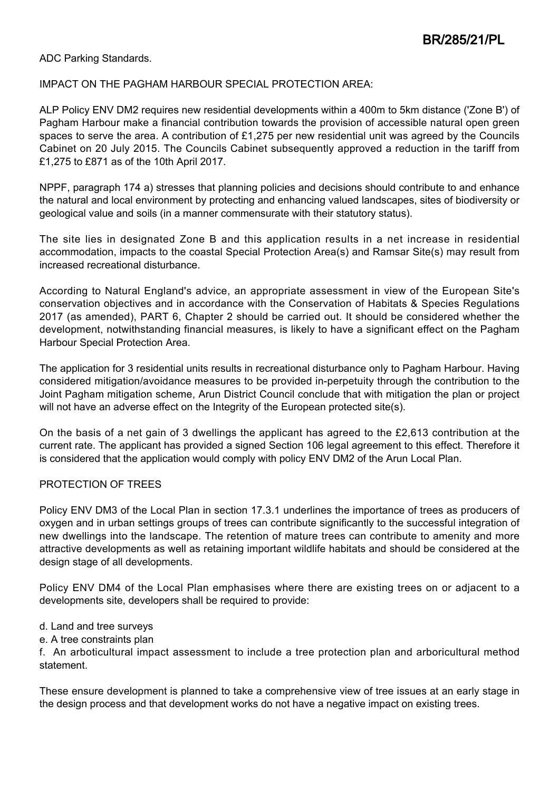#### ADC Parking Standards.

#### IMPACT ON THE PAGHAM HARBOUR SPECIAL PROTECTION AREA:

ALP Policy ENV DM2 requires new residential developments within a 400m to 5km distance ('Zone B') of Pagham Harbour make a financial contribution towards the provision of accessible natural open green spaces to serve the area. A contribution of £1,275 per new residential unit was agreed by the Councils Cabinet on 20 July 2015. The Councils Cabinet subsequently approved a reduction in the tariff from £1,275 to £871 as of the 10th April 2017.

NPPF, paragraph 174 a) stresses that planning policies and decisions should contribute to and enhance the natural and local environment by protecting and enhancing valued landscapes, sites of biodiversity or geological value and soils (in a manner commensurate with their statutory status).

The site lies in designated Zone B and this application results in a net increase in residential accommodation, impacts to the coastal Special Protection Area(s) and Ramsar Site(s) may result from increased recreational disturbance.

According to Natural England's advice, an appropriate assessment in view of the European Site's conservation objectives and in accordance with the Conservation of Habitats & Species Regulations 2017 (as amended), PART 6, Chapter 2 should be carried out. It should be considered whether the development, notwithstanding financial measures, is likely to have a significant effect on the Pagham Harbour Special Protection Area.

The application for 3 residential units results in recreational disturbance only to Pagham Harbour. Having considered mitigation/avoidance measures to be provided in-perpetuity through the contribution to the Joint Pagham mitigation scheme, Arun District Council conclude that with mitigation the plan or project will not have an adverse effect on the Integrity of the European protected site(s).

On the basis of a net gain of 3 dwellings the applicant has agreed to the £2,613 contribution at the current rate. The applicant has provided a signed Section 106 legal agreement to this effect. Therefore it is considered that the application would comply with policy ENV DM2 of the Arun Local Plan.

### PROTECTION OF TREES

Policy ENV DM3 of the Local Plan in section 17.3.1 underlines the importance of trees as producers of oxygen and in urban settings groups of trees can contribute significantly to the successful integration of new dwellings into the landscape. The retention of mature trees can contribute to amenity and more attractive developments as well as retaining important wildlife habitats and should be considered at the design stage of all developments.

Policy ENV DM4 of the Local Plan emphasises where there are existing trees on or adjacent to a developments site, developers shall be required to provide:

- d. Land and tree surveys
- e. A tree constraints plan

f. An arboticultural impact assessment to include a tree protection plan and arboricultural method statement.

These ensure development is planned to take a comprehensive view of tree issues at an early stage in the design process and that development works do not have a negative impact on existing trees.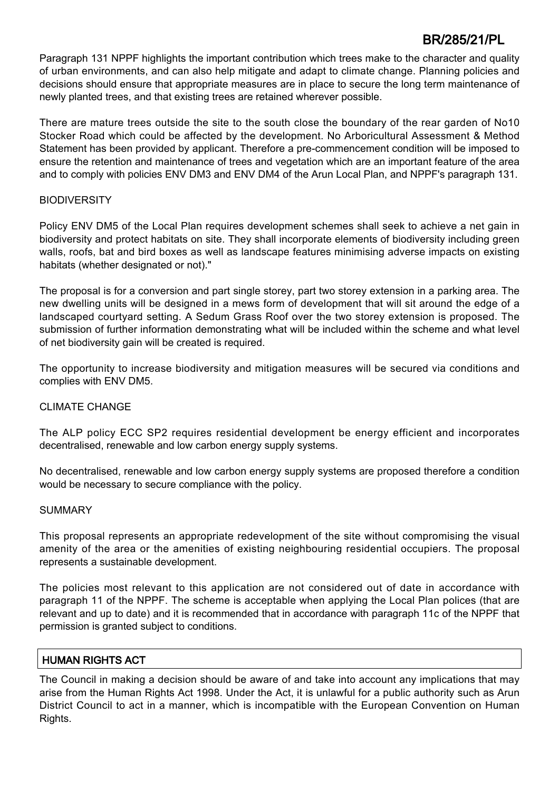Paragraph 131 NPPF highlights the important contribution which trees make to the character and quality of urban environments, and can also help mitigate and adapt to climate change. Planning policies and decisions should ensure that appropriate measures are in place to secure the long term maintenance of newly planted trees, and that existing trees are retained wherever possible.

There are mature trees outside the site to the south close the boundary of the rear garden of No10 Stocker Road which could be affected by the development. No Arboricultural Assessment & Method Statement has been provided by applicant. Therefore a pre-commencement condition will be imposed to ensure the retention and maintenance of trees and vegetation which are an important feature of the area and to comply with policies ENV DM3 and ENV DM4 of the Arun Local Plan, and NPPF's paragraph 131.

### **BIODIVERSITY**

Policy ENV DM5 of the Local Plan requires development schemes shall seek to achieve a net gain in biodiversity and protect habitats on site. They shall incorporate elements of biodiversity including green walls, roofs, bat and bird boxes as well as landscape features minimising adverse impacts on existing habitats (whether designated or not)."

The proposal is for a conversion and part single storey, part two storey extension in a parking area. The new dwelling units will be designed in a mews form of development that will sit around the edge of a landscaped courtyard setting. A Sedum Grass Roof over the two storey extension is proposed. The submission of further information demonstrating what will be included within the scheme and what level of net biodiversity gain will be created is required.

The opportunity to increase biodiversity and mitigation measures will be secured via conditions and complies with ENV DM5.

### CLIMATE CHANGE

The ALP policy ECC SP2 requires residential development be energy efficient and incorporates decentralised, renewable and low carbon energy supply systems.

No decentralised, renewable and low carbon energy supply systems are proposed therefore a condition would be necessary to secure compliance with the policy.

### SUMMARY

This proposal represents an appropriate redevelopment of the site without compromising the visual amenity of the area or the amenities of existing neighbouring residential occupiers. The proposal represents a sustainable development.

The policies most relevant to this application are not considered out of date in accordance with paragraph 11 of the NPPF. The scheme is acceptable when applying the Local Plan polices (that are relevant and up to date) and it is recommended that in accordance with paragraph 11c of the NPPF that permission is granted subject to conditions.

## HUMAN RIGHTS ACT

The Council in making a decision should be aware of and take into account any implications that may arise from the Human Rights Act 1998. Under the Act, it is unlawful for a public authority such as Arun District Council to act in a manner, which is incompatible with the European Convention on Human Rights.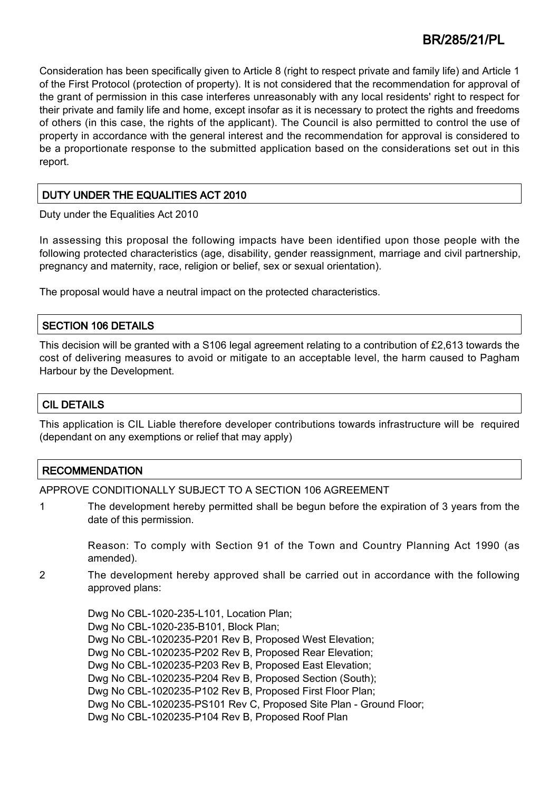Consideration has been specifically given to Article 8 (right to respect private and family life) and Article 1 of the First Protocol (protection of property). It is not considered that the recommendation for approval of the grant of permission in this case interferes unreasonably with any local residents' right to respect for their private and family life and home, except insofar as it is necessary to protect the rights and freedoms of others (in this case, the rights of the applicant). The Council is also permitted to control the use of property in accordance with the general interest and the recommendation for approval is considered to be a proportionate response to the submitted application based on the considerations set out in this report.

## DUTY UNDER THE EQUALITIES ACT 2010

Duty under the Equalities Act 2010

In assessing this proposal the following impacts have been identified upon those people with the following protected characteristics (age, disability, gender reassignment, marriage and civil partnership, pregnancy and maternity, race, religion or belief, sex or sexual orientation).

The proposal would have a neutral impact on the protected characteristics.

### SECTION 106 DETAILS

This decision will be granted with a S106 legal agreement relating to a contribution of £2,613 towards the cost of delivering measures to avoid or mitigate to an acceptable level, the harm caused to Pagham Harbour by the Development.

## CIL DETAILS

This application is CIL Liable therefore developer contributions towards infrastructure will be required (dependant on any exemptions or relief that may apply)

## **RECOMMENDATION**

APPROVE CONDITIONALLY SUBJECT TO A SECTION 106 AGREEMENT

1 The development hereby permitted shall be begun before the expiration of 3 years from the date of this permission.

Reason: To comply with Section 91 of the Town and Country Planning Act 1990 (as amended).

2 The development hereby approved shall be carried out in accordance with the following approved plans:

Dwg No CBL-1020-235-L101, Location Plan; Dwg No CBL-1020-235-B101, Block Plan; Dwg No CBL-1020235-P201 Rev B, Proposed West Elevation; Dwg No CBL-1020235-P202 Rev B, Proposed Rear Elevation; Dwg No CBL-1020235-P203 Rev B, Proposed East Elevation; Dwg No CBL-1020235-P204 Rev B, Proposed Section (South); Dwg No CBL-1020235-P102 Rev B, Proposed First Floor Plan; Dwg No CBL-1020235-PS101 Rev C, Proposed Site Plan - Ground Floor; Dwg No CBL-1020235-P104 Rev B, Proposed Roof Plan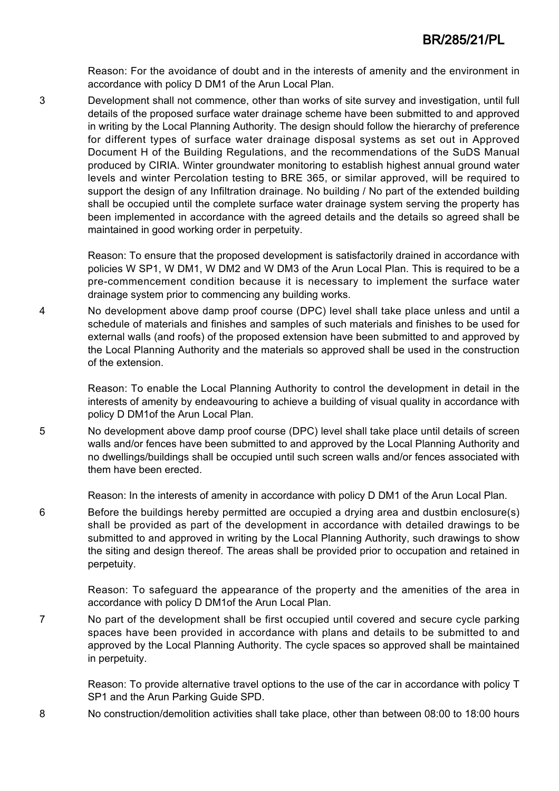Reason: For the avoidance of doubt and in the interests of amenity and the environment in accordance with policy D DM1 of the Arun Local Plan.

3 Development shall not commence, other than works of site survey and investigation, until full details of the proposed surface water drainage scheme have been submitted to and approved in writing by the Local Planning Authority. The design should follow the hierarchy of preference for different types of surface water drainage disposal systems as set out in Approved Document H of the Building Regulations, and the recommendations of the SuDS Manual produced by CIRIA. Winter groundwater monitoring to establish highest annual ground water levels and winter Percolation testing to BRE 365, or similar approved, will be required to support the design of any Infiltration drainage. No building / No part of the extended building shall be occupied until the complete surface water drainage system serving the property has been implemented in accordance with the agreed details and the details so agreed shall be maintained in good working order in perpetuity.

> Reason: To ensure that the proposed development is satisfactorily drained in accordance with policies W SP1, W DM1, W DM2 and W DM3 of the Arun Local Plan. This is required to be a pre-commencement condition because it is necessary to implement the surface water drainage system prior to commencing any building works.

4 No development above damp proof course (DPC) level shall take place unless and until a schedule of materials and finishes and samples of such materials and finishes to be used for external walls (and roofs) of the proposed extension have been submitted to and approved by the Local Planning Authority and the materials so approved shall be used in the construction of the extension.

> Reason: To enable the Local Planning Authority to control the development in detail in the interests of amenity by endeavouring to achieve a building of visual quality in accordance with policy D DM1of the Arun Local Plan.

5 No development above damp proof course (DPC) level shall take place until details of screen walls and/or fences have been submitted to and approved by the Local Planning Authority and no dwellings/buildings shall be occupied until such screen walls and/or fences associated with them have been erected.

Reason: In the interests of amenity in accordance with policy D DM1 of the Arun Local Plan.

6 Before the buildings hereby permitted are occupied a drying area and dustbin enclosure(s) shall be provided as part of the development in accordance with detailed drawings to be submitted to and approved in writing by the Local Planning Authority, such drawings to show the siting and design thereof. The areas shall be provided prior to occupation and retained in perpetuity.

> Reason: To safeguard the appearance of the property and the amenities of the area in accordance with policy D DM1of the Arun Local Plan.

7 No part of the development shall be first occupied until covered and secure cycle parking spaces have been provided in accordance with plans and details to be submitted to and approved by the Local Planning Authority. The cycle spaces so approved shall be maintained in perpetuity.

Reason: To provide alternative travel options to the use of the car in accordance with policy T SP1 and the Arun Parking Guide SPD.

8 No construction/demolition activities shall take place, other than between 08:00 to 18:00 hours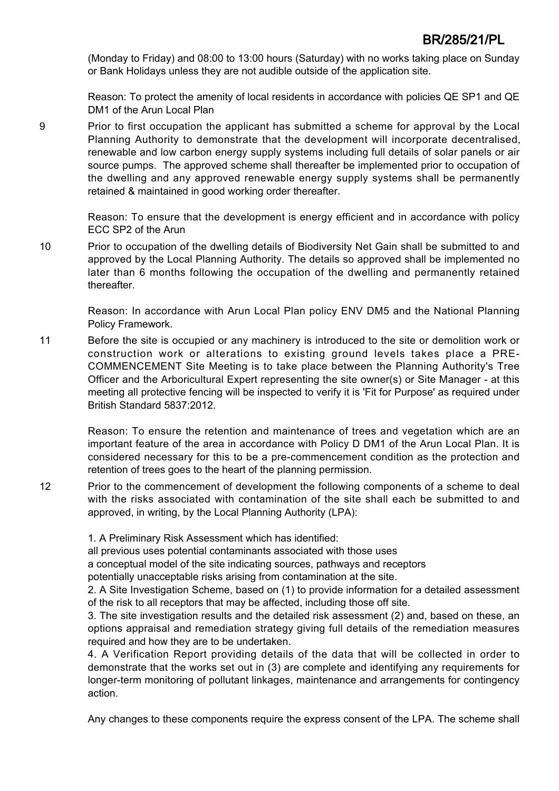(Monday to Friday) and 08:00 to 13:00 hours (Saturday) with no works taking place on Sunday or Bank Holidays unless they are not audible outside of the application site.

Reason: To protect the amenity of local residents in accordance with policies QE SP1 and QE DM1 of the Arun Local Plan

9 Prior to first occupation the applicant has submitted a scheme for approval by the Local Planning Authority to demonstrate that the development will incorporate decentralised, renewable and low carbon energy supply systems including full details of solar panels or air source pumps. The approved scheme shall thereafter be implemented prior to occupation of the dwelling and any approved renewable energy supply systems shall be permanently retained & maintained in good working order thereafter.

> Reason: To ensure that the development is energy efficient and in accordance with policy ECC SP2 of the Arun

10 Prior to occupation of the dwelling details of Biodiversity Net Gain shall be submitted to and approved by the Local Planning Authority. The details so approved shall be implemented no later than 6 months following the occupation of the dwelling and permanently retained thereafter.

Reason: In accordance with Arun Local Plan policy ENV DM5 and the National Planning Policy Framework.

11 Before the site is occupied or any machinery is introduced to the site or demolition work or construction work or alterations to existing ground levels takes place a PRE-COMMENCEMENT Site Meeting is to take place between the Planning Authority's Tree Officer and the Arboricultural Expert representing the site owner(s) or Site Manager - at this meeting all protective fencing will be inspected to verify it is 'Fit for Purpose' as required under British Standard 5837:2012.

Reason: To ensure the retention and maintenance of trees and vegetation which are an important feature of the area in accordance with Policy D DM1 of the Arun Local Plan. It is considered necessary for this to be a pre-commencement condition as the protection and retention of trees goes to the heart of the planning permission.

12 Prior to the commencement of development the following components of a scheme to deal with the risks associated with contamination of the site shall each be submitted to and approved, in writing, by the Local Planning Authority (LPA):

1. A Preliminary Risk Assessment which has identified:

all previous uses potential contaminants associated with those uses

a conceptual model of the site indicating sources, pathways and receptors

potentially unacceptable risks arising from contamination at the site.

2. A Site Investigation Scheme, based on (1) to provide information for a detailed assessment of the risk to all receptors that may be affected, including those off site.

3. The site investigation results and the detailed risk assessment (2) and, based on these, an options appraisal and remediation strategy giving full details of the remediation measures required and how they are to be undertaken.

4. A Verification Report providing details of the data that will be collected in order to demonstrate that the works set out in (3) are complete and identifying any requirements for longer-term monitoring of pollutant linkages, maintenance and arrangements for contingency action.

Any changes to these components require the express consent of the LPA. The scheme shall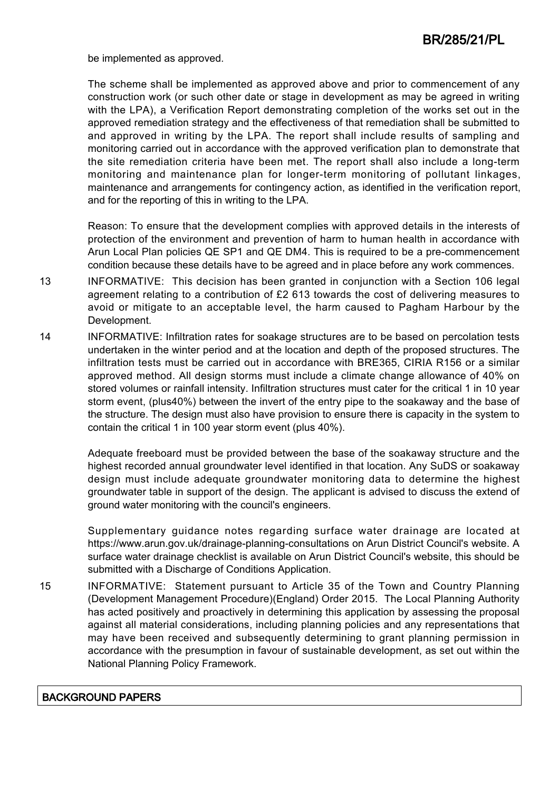be implemented as approved.

The scheme shall be implemented as approved above and prior to commencement of any construction work (or such other date or stage in development as may be agreed in writing with the LPA), a Verification Report demonstrating completion of the works set out in the approved remediation strategy and the effectiveness of that remediation shall be submitted to and approved in writing by the LPA. The report shall include results of sampling and monitoring carried out in accordance with the approved verification plan to demonstrate that the site remediation criteria have been met. The report shall also include a long-term monitoring and maintenance plan for longer-term monitoring of pollutant linkages, maintenance and arrangements for contingency action, as identified in the verification report, and for the reporting of this in writing to the LPA.

Reason: To ensure that the development complies with approved details in the interests of protection of the environment and prevention of harm to human health in accordance with Arun Local Plan policies QE SP1 and QE DM4. This is required to be a pre-commencement condition because these details have to be agreed and in place before any work commences.

- 13 INFORMATIVE: This decision has been granted in conjunction with a Section 106 legal agreement relating to a contribution of £2 613 towards the cost of delivering measures to avoid or mitigate to an acceptable level, the harm caused to Pagham Harbour by the Development.
- 14 INFORMATIVE: Infiltration rates for soakage structures are to be based on percolation tests undertaken in the winter period and at the location and depth of the proposed structures. The infiltration tests must be carried out in accordance with BRE365, CIRIA R156 or a similar approved method. All design storms must include a climate change allowance of 40% on stored volumes or rainfall intensity. Infiltration structures must cater for the critical 1 in 10 year storm event, (plus40%) between the invert of the entry pipe to the soakaway and the base of the structure. The design must also have provision to ensure there is capacity in the system to contain the critical 1 in 100 year storm event (plus 40%).

Adequate freeboard must be provided between the base of the soakaway structure and the highest recorded annual groundwater level identified in that location. Any SuDS or soakaway design must include adequate groundwater monitoring data to determine the highest groundwater table in support of the design. The applicant is advised to discuss the extend of ground water monitoring with the council's engineers.

Supplementary guidance notes regarding surface water drainage are located at https://www.arun.gov.uk/drainage-planning-consultations on Arun District Council's website. A surface water drainage checklist is available on Arun District Council's website, this should be submitted with a Discharge of Conditions Application.

15 INFORMATIVE: Statement pursuant to Article 35 of the Town and Country Planning (Development Management Procedure)(England) Order 2015. The Local Planning Authority has acted positively and proactively in determining this application by assessing the proposal against all material considerations, including planning policies and any representations that may have been received and subsequently determining to grant planning permission in accordance with the presumption in favour of sustainable development, as set out within the National Planning Policy Framework.

### BACKGROUND PAPERS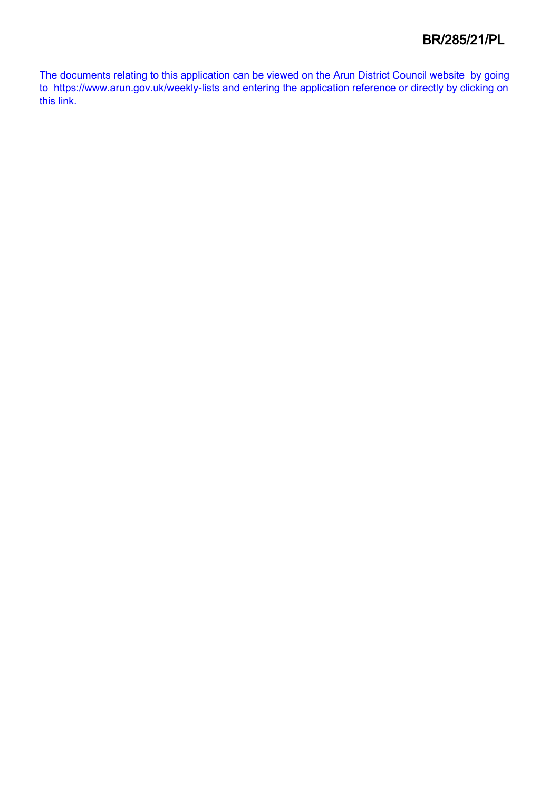[The documents relating to this application can be viewed on the Arun District Council website by going](http://www1.arun.gov.uk/planrec/index.cfm?tpkey=eOcella&user_key_1=BR/285/21/PL&keyscheme=planning) [to https://www.arun.gov.uk/weekly-lists and entering the application reference or directly by clicking on](http://www1.arun.gov.uk/planrec/index.cfm?tpkey=eOcella&user_key_1=BR/285/21/PL&keyscheme=planning) [this link.](http://www1.arun.gov.uk/planrec/index.cfm?tpkey=eOcella&user_key_1=BR/285/21/PL&keyscheme=planning)